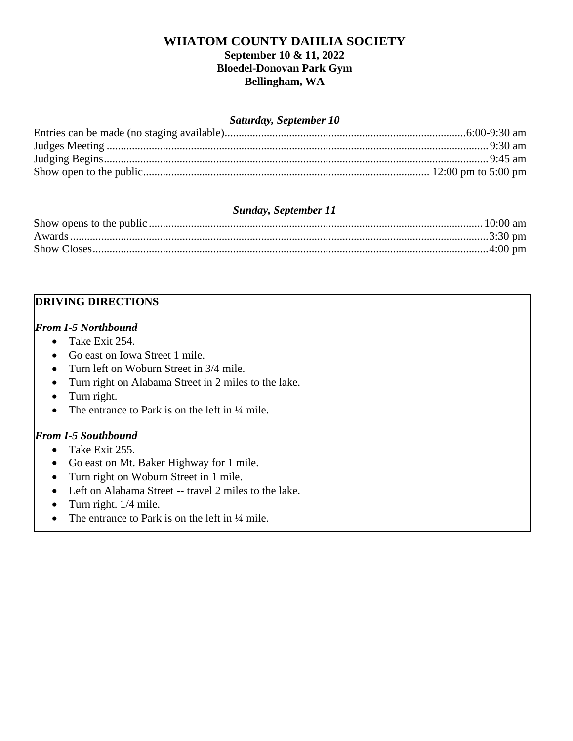# **WHATOM COUNTY DAHLIA SOCIETY September 10 & 11, 2022 Bloedel-Donovan Park Gym Bellingham, WA**

#### *Saturday, September 10*

## *Sunday, September 11*

## **DRIVING DIRECTIONS**

#### *From I-5 Northbound*

- Take Exit 254.
- Go east on Iowa Street 1 mile.
- Turn left on Woburn Street in 3/4 mile.
- Turn right on Alabama Street in 2 miles to the lake.
- Turn right.
- The entrance to Park is on the left in  $\frac{1}{4}$  mile.

### *From I-5 Southbound*

- Take Exit 255.
- Go east on Mt. Baker Highway for 1 mile.
- Turn right on Woburn Street in 1 mile.
- Left on Alabama Street -- travel 2 miles to the lake.
- Turn right.  $1/4$  mile.
- The entrance to Park is on the left in  $\frac{1}{4}$  mile.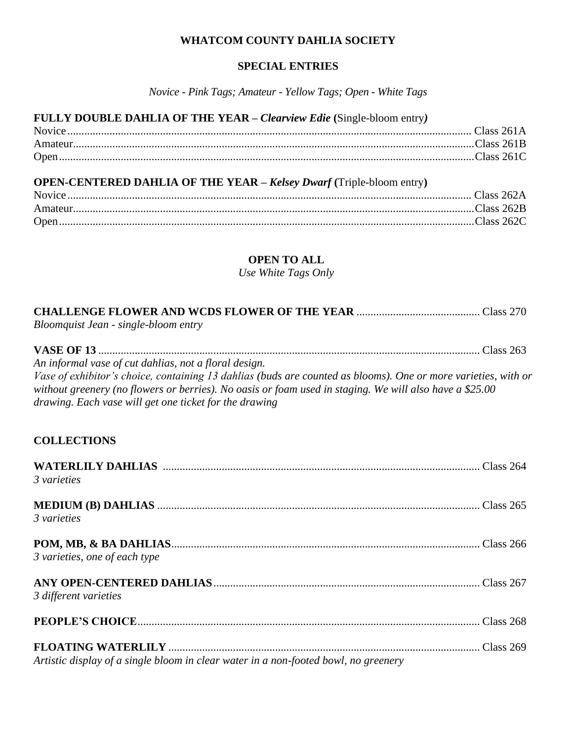### **WHATCOM COUNTY DAHLIA SOCIETY**

#### **SPECIAL ENTRIES**

*Novice - Pink Tags; Amateur - Yellow Tags; Open - White Tags*

#### **FULLY DOUBLE DAHLIA OF THE YEAR –** *Clearview Edie* **(**Single-bloom entry*)*

# **OPEN-CENTERED DAHLIA OF THE YEAR –** *Kelsey Dwarf* **(**Triple-bloom entry**)**

| Open. |  |
|-------|--|

# **OPEN TO ALL**

*Use White Tags Only*

| Bloomquist Jean - single-bloom entry                                                                                                                                                                                                                                                                                                         |
|----------------------------------------------------------------------------------------------------------------------------------------------------------------------------------------------------------------------------------------------------------------------------------------------------------------------------------------------|
| An informal vase of cut dahlias, not a floral design.<br>Vase of exhibitor's choice, containing 13 dahlias (buds are counted as blooms). One or more varieties, with or<br>without greenery (no flowers or berries). No oasis or foam used in staging. We will also have a \$25.00<br>drawing. Each vase will get one ticket for the drawing |
| <b>COLLECTIONS</b>                                                                                                                                                                                                                                                                                                                           |

| 3 varieties                                                                         |  |
|-------------------------------------------------------------------------------------|--|
| 3 varieties                                                                         |  |
| 3 varieties, one of each type                                                       |  |
| 3 different varieties                                                               |  |
|                                                                                     |  |
| Artistic display of a single bloom in clear water in a non-footed bowl, no greenery |  |